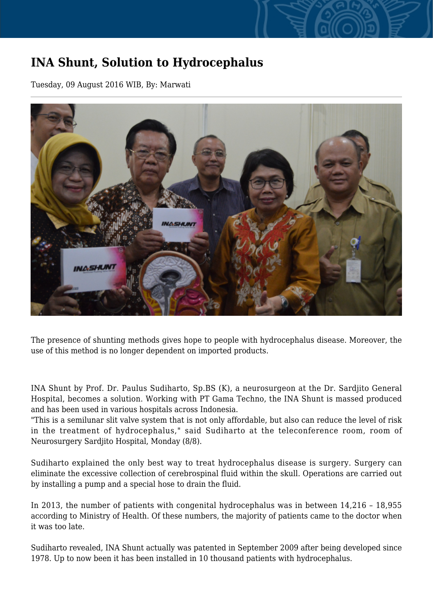## **INA Shunt, Solution to Hydrocephalus**

Tuesday, 09 August 2016 WIB, By: Marwati



The presence of shunting methods gives hope to people with hydrocephalus disease. Moreover, the use of this method is no longer dependent on imported products.

INA Shunt by Prof. Dr. Paulus Sudiharto, Sp.BS (K), a neurosurgeon at the Dr. Sardjito General Hospital, becomes a solution. Working with PT Gama Techno, the INA Shunt is massed produced and has been used in various hospitals across Indonesia.

"This is a semilunar slit valve system that is not only affordable, but also can reduce the level of risk in the treatment of hydrocephalus," said Sudiharto at the teleconference room, room of Neurosurgery Sardjito Hospital, Monday (8/8).

Sudiharto explained the only best way to treat hydrocephalus disease is surgery. Surgery can eliminate the excessive collection of cerebrospinal fluid within the skull. Operations are carried out by installing a pump and a special hose to drain the fluid.

In 2013, the number of patients with congenital hydrocephalus was in between 14,216 – 18,955 according to Ministry of Health. Of these numbers, the majority of patients came to the doctor when it was too late.

Sudiharto revealed, INA Shunt actually was patented in September 2009 after being developed since 1978. Up to now been it has been installed in 10 thousand patients with hydrocephalus.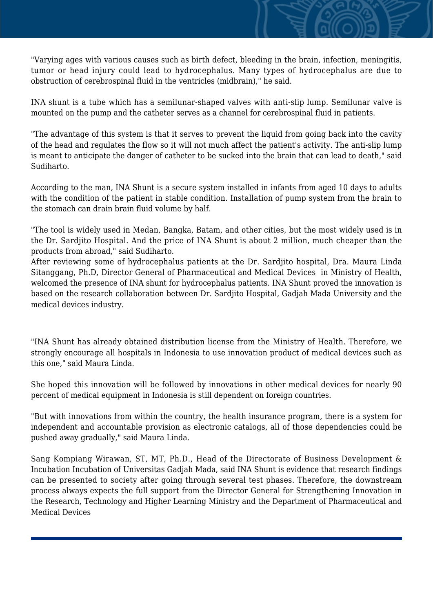"Varying ages with various causes such as birth defect, bleeding in the brain, infection, meningitis, tumor or head injury could lead to hydrocephalus. Many types of hydrocephalus are due to obstruction of cerebrospinal fluid in the ventricles (midbrain)," he said.

INA shunt is a tube which has a semilunar-shaped valves with anti-slip lump. Semilunar valve is mounted on the pump and the catheter serves as a channel for cerebrospinal fluid in patients.

"The advantage of this system is that it serves to prevent the liquid from going back into the cavity of the head and regulates the flow so it will not much affect the patient's activity. The anti-slip lump is meant to anticipate the danger of catheter to be sucked into the brain that can lead to death," said Sudiharto.

According to the man, INA Shunt is a secure system installed in infants from aged 10 days to adults with the condition of the patient in stable condition. Installation of pump system from the brain to the stomach can drain brain fluid volume by half.

"The tool is widely used in Medan, Bangka, Batam, and other cities, but the most widely used is in the Dr. Sardjito Hospital. And the price of INA Shunt is about 2 million, much cheaper than the products from abroad," said Sudiharto.

After reviewing some of hydrocephalus patients at the Dr. Sardjito hospital, Dra. Maura Linda Sitanggang, Ph.D, Director General of Pharmaceutical and Medical Devices in Ministry of Health, welcomed the presence of INA shunt for hydrocephalus patients. INA Shunt proved the innovation is based on the research collaboration between Dr. Sardjito Hospital, Gadjah Mada University and the medical devices industry.

"INA Shunt has already obtained distribution license from the Ministry of Health. Therefore, we strongly encourage all hospitals in Indonesia to use innovation product of medical devices such as this one," said Maura Linda.

She hoped this innovation will be followed by innovations in other medical devices for nearly 90 percent of medical equipment in Indonesia is still dependent on foreign countries.

"But with innovations from within the country, the health insurance program, there is a system for independent and accountable provision as electronic catalogs, all of those dependencies could be pushed away gradually," said Maura Linda.

Sang Kompiang Wirawan, ST, MT, Ph.D., Head of the Directorate of Business Development & Incubation Incubation of Universitas Gadjah Mada, said INA Shunt is evidence that research findings can be presented to society after going through several test phases. Therefore, the downstream process always expects the full support from the Director General for Strengthening Innovation in the Research, Technology and Higher Learning Ministry and the Department of Pharmaceutical and Medical Devices